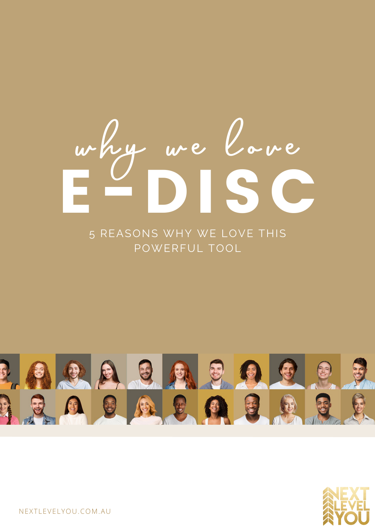# **why we love** E-DISC

5 REASONS WHY WE LOVE THIS POWERFUL TOOL





NEXTLEVELYOU.COM.AU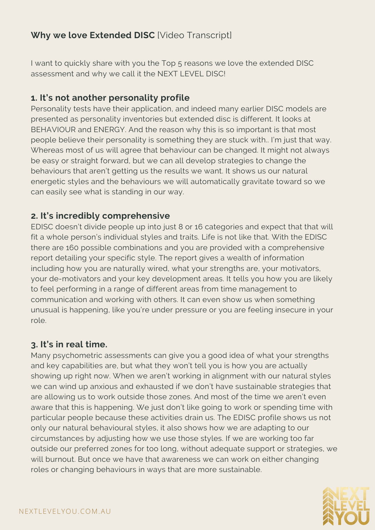# **Why we love Extended DISC** [Video Transcript]

I want to quickly share with you the Top 5 reasons we love the extended DISC assessment and why we call it the NEXT LEVEL DISC!

### **1. It's not another personality profile**

Personality tests have their application, and indeed many earlier DISC models are presented as personality inventories but extended disc is different. It looks at BEHAVIOUR and ENERGY. And the reason why this is so important is that most people believe their personality is something they are stuck with.. I'm just that way. Whereas most of us will agree that behaviour can be changed. It might not always be easy or straight forward, but we can all develop strategies to change the behaviours that aren't getting us the results we want. It shows us our natural energetic styles and the behaviours we will automatically gravitate toward so we can easily see what is standing in our way.

## **2. It's incredibly comprehensive**

EDISC doesn't divide people up into just 8 or 16 categories and expect that that will fit a whole person's individual styles and traits. Life is not like that. With the EDISC there are 160 possible combinations and you are provided with a comprehensive report detailing your specific style. The report gives a wealth of information including how you are naturally wired, what your strengths are, your motivators, your de-motivators and your key development areas. It tells you how you are likely to feel performing in a range of different areas from time management to communication and working with others. It can even show us when something unusual is happening, like you're under pressure or you are feeling insecure in your role.

### **3. It's in real time.**

Many psychometric assessments can give you a good idea of what your strengths and key capabilities are, but what they won't tell you is how you are actually showing up right now. When we aren't working in alignment with our natural styles we can wind up anxious and exhausted if we don't have sustainable strategies that are allowing us to work outside those zones. And most of the time we aren't even aware that this is happening. We just don't like going to work or spending time with particular people because these activities drain us. The EDISC profile shows us not only our natural behavioural styles, it also shows how we are adapting to our circumstances by adjusting how we use those styles. If we are working too far outside our preferred zones for too long, without adequate support or strategies, we will burnout. But once we have that awareness we can work on either changing roles or changing behaviours in ways that are more sustainable.